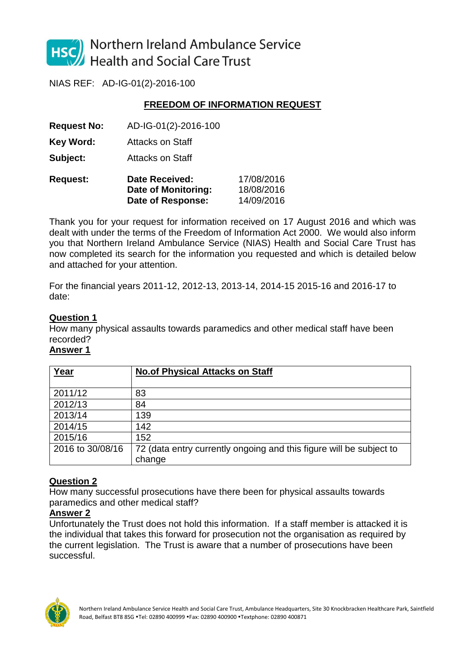

Northern Ireland Ambulance Service **Health and Social Care Trust** 

NIAS REF: AD-IG-01(2)-2016-100

# **FREEDOM OF INFORMATION REQUEST**

**Request No:** AD-IG-01(2)-2016-100

**Key Word:** Attacks on Staff

**Subject:** Attacks on Staff

| <b>Request:</b> | <b>Date Received:</b> | 17/08/2016 |
|-----------------|-----------------------|------------|
|                 | Date of Monitoring:   | 18/08/2016 |
|                 | Date of Response:     | 14/09/2016 |

Thank you for your request for information received on 17 August 2016 and which was dealt with under the terms of the Freedom of Information Act 2000. We would also inform you that Northern Ireland Ambulance Service (NIAS) Health and Social Care Trust has now completed its search for the information you requested and which is detailed below and attached for your attention.

For the financial years 2011-12, 2012-13, 2013-14, 2014-15 2015-16 and 2016-17 to date:

# **Question 1**

How many physical assaults towards paramedics and other medical staff have been recorded?

### **Answer 1**

| Year             | <b>No.of Physical Attacks on Staff</b>                              |
|------------------|---------------------------------------------------------------------|
|                  |                                                                     |
| 2011/12          | 83                                                                  |
| 2012/13          | 84                                                                  |
| 2013/14          | 139                                                                 |
| 2014/15          | 142                                                                 |
| 2015/16          | 152                                                                 |
| 2016 to 30/08/16 | 72 (data entry currently ongoing and this figure will be subject to |
|                  | change                                                              |

# **Question 2**

How many successful prosecutions have there been for physical assaults towards paramedics and other medical staff?

### **Answer 2**

Unfortunately the Trust does not hold this information. If a staff member is attacked it is the individual that takes this forward for prosecution not the organisation as required by the current legislation. The Trust is aware that a number of prosecutions have been successful.

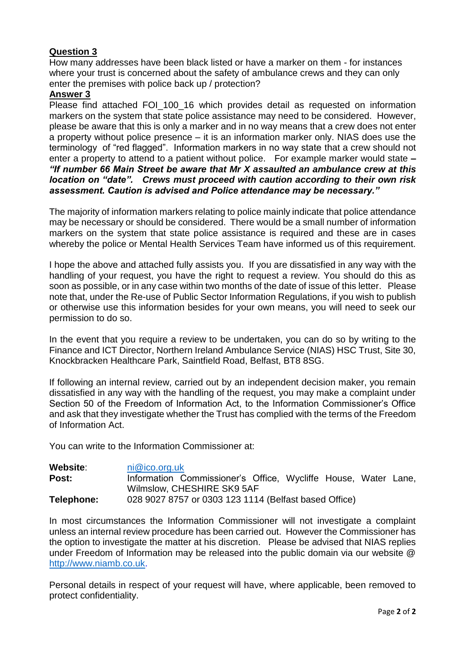# **Question 3**

How many addresses have been black listed or have a marker on them - for instances where your trust is concerned about the safety of ambulance crews and they can only enter the premises with police back up / protection?

### **Answer 3**

Please find attached FOI\_100\_16 which provides detail as requested on information markers on the system that state police assistance may need to be considered. However, please be aware that this is only a marker and in no way means that a crew does not enter a property without police presence – it is an information marker only. NIAS does use the terminology of "red flagged". Information markers in no way state that a crew should not enter a property to attend to a patient without police.For example marker would state **–** *"If number 66 Main Street be aware that Mr X assaulted an ambulance crew at this location on "date". Crews must proceed with caution according to their own risk assessment. Caution is advised and Police attendance may be necessary."*

The majority of information markers relating to police mainly indicate that police attendance may be necessary or should be considered. There would be a small number of information markers on the system that state police assistance is required and these are in cases whereby the police or Mental Health Services Team have informed us of this requirement.

I hope the above and attached fully assists you. If you are dissatisfied in any way with the handling of your request, you have the right to request a review. You should do this as soon as possible, or in any case within two months of the date of issue of this letter. Please note that, under the Re-use of Public Sector Information Regulations, if you wish to publish or otherwise use this information besides for your own means, you will need to seek our permission to do so.

In the event that you require a review to be undertaken, you can do so by writing to the Finance and ICT Director, Northern Ireland Ambulance Service (NIAS) HSC Trust, Site 30, Knockbracken Healthcare Park, Saintfield Road, Belfast, BT8 8SG.

If following an internal review, carried out by an independent decision maker, you remain dissatisfied in any way with the handling of the request, you may make a complaint under Section 50 of the Freedom of Information Act, to the Information Commissioner's Office and ask that they investigate whether the Trust has complied with the terms of the Freedom of Information Act.

You can write to the Information Commissioner at:

| Website:   | ni@ico.org.uk                                                  |
|------------|----------------------------------------------------------------|
| Post:      | Information Commissioner's Office, Wycliffe House, Water Lane, |
|            | Wilmslow, CHESHIRE SK9 5AF                                     |
| Telephone: | 028 9027 8757 or 0303 123 1114 (Belfast based Office)          |

In most circumstances the Information Commissioner will not investigate a complaint unless an internal review procedure has been carried out. However the Commissioner has the option to investigate the matter at his discretion. Please be advised that NIAS replies under Freedom of Information may be released into the public domain via our website @ [http://www.niamb.co.uk.](http://www.niamb.co.uk/)

Personal details in respect of your request will have, where applicable, been removed to protect confidentiality.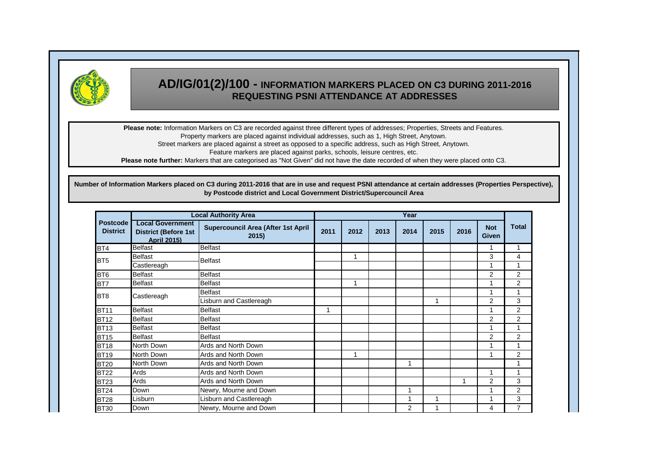

# **AD/IG/01(2)/100 - INFORMATION MARKERS PLACED ON C3 DURING 2011-2016 REQUESTING PSNI ATTENDANCE AT ADDRESSES**

**Please note:** Information Markers on C3 are recorded against three different types of addresses; Properties, Streets and Features. Property markers are placed against individual addresses, such as 1, High Street, Anytown.

Street markers are placed against a street as opposed to a specific address, such as High Street, Anytown.

Feature markers are placed against parks, schools, leisure centres, etc.

**Please note further:** Markers that are categorised as "Not Given" did not have the date recorded of when they were placed onto C3.

**Number of Information Markers placed on C3 during 2011-2016 that are in use and request PSNI attendance at certain addresses (Properties Perspective), by Postcode district and Local Government District/Supercouncil Area**

|                                    |                                                                              | <b>Local Authority Area</b>                        | Year |      |      |                |             |      |                     |                |
|------------------------------------|------------------------------------------------------------------------------|----------------------------------------------------|------|------|------|----------------|-------------|------|---------------------|----------------|
| <b>Postcode</b><br><b>District</b> | <b>Local Government</b><br><b>District (Before 1st</b><br><b>April 2015)</b> | <b>Supercouncil Area (After 1st April</b><br>2015) | 2011 | 2012 | 2013 | 2014           | 2015        | 2016 | <b>Not</b><br>Given | <b>Total</b>   |
| BT4                                | <b>Belfast</b>                                                               | <b>Belfast</b>                                     |      |      |      |                |             |      | 1                   |                |
| BT <sub>5</sub>                    | Belfast                                                                      | <b>Belfast</b>                                     |      | 1    |      |                |             |      | 3                   | 4              |
|                                    | Castlereagh                                                                  |                                                    |      |      |      |                |             |      | 4                   |                |
| BT <sub>6</sub>                    | <b>Belfast</b>                                                               | <b>Belfast</b>                                     |      |      |      |                |             |      | $\overline{2}$      | 2              |
| BT7                                | <b>Belfast</b>                                                               | <b>Belfast</b>                                     |      | 1    |      |                |             |      |                     | $\overline{2}$ |
|                                    | <b>Belfast</b>                                                               |                                                    |      |      |      |                |             | 1    | 4                   |                |
| BT <sub>8</sub>                    | Castlereagh                                                                  | isburn and Castlereagh                             |      |      |      |                | $\mathbf 1$ |      | $\overline{2}$      | 3              |
| <b>BT11</b>                        | <b>Belfast</b>                                                               | <b>Belfast</b>                                     |      |      |      |                |             |      | 4                   | 2              |
| <b>BT12</b>                        | <b>Belfast</b>                                                               | <b>Belfast</b>                                     |      |      |      |                |             |      | 2                   | 2              |
| <b>BT13</b>                        | <b>Belfast</b>                                                               | <b>Belfast</b>                                     |      |      |      |                |             |      | 4                   |                |
| <b>BT15</b>                        | <b>Belfast</b>                                                               | <b>Belfast</b>                                     |      |      |      |                |             |      | $\overline{2}$      | 2              |
| <b>BT18</b>                        | North Down                                                                   | Ards and North Down                                |      |      |      |                |             |      |                     |                |
| <b>BT19</b>                        | North Down                                                                   | Ards and North Down                                |      | 1    |      |                |             |      | 1                   | 2              |
| <b>BT20</b>                        | North Down                                                                   | Ards and North Down                                |      |      |      | $\overline{ }$ |             |      |                     |                |
| <b>BT22</b>                        | Ards                                                                         | Ards and North Down                                |      |      |      |                |             |      | 1                   |                |
| <b>BT23</b>                        | Ards                                                                         | Ards and North Down                                |      |      |      |                |             | 1    | 2                   | 3              |
| <b>BT24</b>                        | Down                                                                         | Newry, Mourne and Down                             |      |      |      | -1             |             |      | $\overline{ }$      | 2              |
| <b>BT28</b>                        | Lisburn                                                                      | Lisburn and Castlereagh                            |      |      |      | $\overline{ }$ | 1           |      | $\overline{ }$      | 3              |
| <b>BT30</b>                        | Down                                                                         | Newry, Mourne and Down                             |      |      |      | $\overline{2}$ | 4           |      | 4                   | $\overline{7}$ |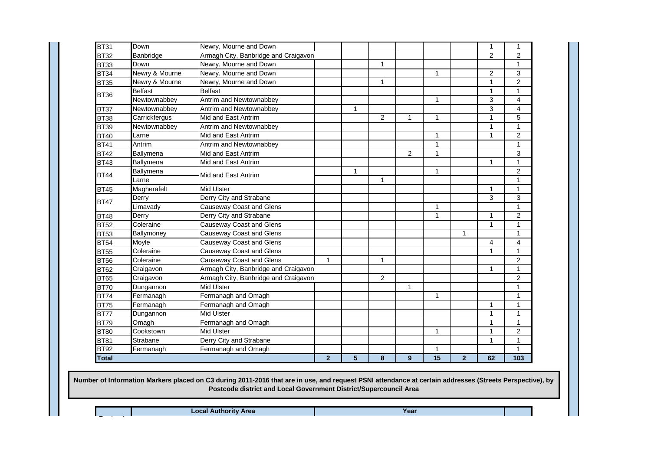|              | Limavady   | <b>Causeway Coast and Glens</b>      |                |   |                |              | $\mathbf{1}$ |                |              | $\mathbf{1}$   |
|--------------|------------|--------------------------------------|----------------|---|----------------|--------------|--------------|----------------|--------------|----------------|
|              | Derry      | Derry City and Strabane              |                |   |                |              | $\mathbf{1}$ |                | $\mathbf{1}$ | $\overline{2}$ |
| <b>BT48</b>  |            |                                      |                |   |                |              |              |                |              |                |
| <b>BT52</b>  | Coleraine  | <b>Causeway Coast and Glens</b>      |                |   |                |              |              |                | $\mathbf{1}$ | $\mathbf{1}$   |
| <b>BT53</b>  | Ballymoney | Causeway Coast and Glens             |                |   |                |              |              | $\mathbf{1}$   |              | $\mathbf{1}$   |
| <b>BT54</b>  | Moyle      | <b>Causeway Coast and Glens</b>      |                |   |                |              |              |                | 4            | $\overline{4}$ |
| <b>BT55</b>  | Coleraine  | <b>Causeway Coast and Glens</b>      |                |   |                |              |              |                | 1            | $\mathbf{1}$   |
| <b>BT56</b>  | Coleraine  | <b>Causeway Coast and Glens</b>      | $\mathbf{1}$   |   | $\mathbf{1}$   |              |              |                |              | $\overline{2}$ |
| BT62         | Craigavon  | Armagh City, Banbridge and Craigavon |                |   |                |              |              |                | 1            | $\mathbf{1}$   |
| <b>BT65</b>  | Craigavon  | Armagh City, Banbridge and Craigavon |                |   | $\overline{2}$ |              |              |                |              | $\overline{2}$ |
|              |            |                                      |                |   |                |              |              |                |              |                |
| <b>BT70</b>  | Dungannon  | Mid Ulster                           |                |   |                | $\mathbf{1}$ |              |                |              | $\mathbf{1}$   |
| <b>BT74</b>  | Fermanagh  | Fermanagh and Omagh                  |                |   |                |              | $\mathbf{1}$ |                |              | $\mathbf{1}$   |
| <b>BT75</b>  | Fermanagh  | Fermanagh and Omagh                  |                |   |                |              |              |                | 1            | $\mathbf{1}$   |
| <b>BT77</b>  | Dungannon  | <b>Mid Ulster</b>                    |                |   |                |              |              |                | 1            | $\mathbf{1}$   |
| <b>BT79</b>  | Omagh      | Fermanagh and Omagh                  |                |   |                |              |              |                | $\mathbf{1}$ | $\mathbf{1}$   |
|              |            |                                      |                |   |                |              |              |                |              |                |
| <b>BT80</b>  | Cookstown  | <b>Mid Ulster</b>                    |                |   |                |              | $\mathbf{1}$ |                | $\mathbf{1}$ | $\overline{2}$ |
| <b>BT81</b>  | Strabane   | Derry City and Strabane              |                |   |                |              |              |                | $\mathbf{1}$ | $\mathbf{1}$   |
| <b>BT92</b>  | Fermanagh  | Fermanagh and Omagh                  |                |   |                |              | $\mathbf{1}$ |                |              | $\mathbf{1}$   |
| <b>Total</b> |            |                                      | $\overline{2}$ | 5 | 8              | 9            | 15           | $\overline{2}$ | 62           | 103            |

**Local Authority Area**

**Postcode** 

**Year**